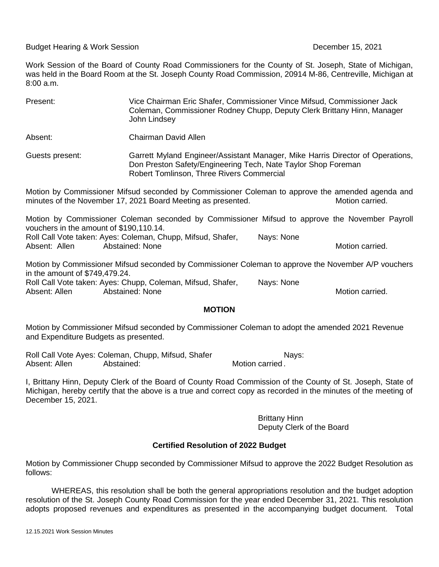Budget Hearing & Work Session **December 15, 2021** 

Work Session of the Board of County Road Commissioners for the County of St. Joseph, State of Michigan, was held in the Board Room at the St. Joseph County Road Commission, 20914 M-86, Centreville, Michigan at 8:00 a.m.

| Present:                                                                                                                                                                                                                                                                             | Vice Chairman Eric Shafer, Commissioner Vince Mifsud, Commissioner Jack<br>Coleman, Commissioner Rodney Chupp, Deputy Clerk Brittany Hinn, Manager<br>John Lindsey                           |  |  |
|--------------------------------------------------------------------------------------------------------------------------------------------------------------------------------------------------------------------------------------------------------------------------------------|----------------------------------------------------------------------------------------------------------------------------------------------------------------------------------------------|--|--|
| Absent:                                                                                                                                                                                                                                                                              | Chairman David Allen                                                                                                                                                                         |  |  |
| Guests present:                                                                                                                                                                                                                                                                      | Garrett Myland Engineer/Assistant Manager, Mike Harris Director of Operations,<br>Don Preston Safety/Engineering Tech, Nate Taylor Shop Foreman<br>Robert Tomlinson, Three Rivers Commercial |  |  |
| Motion by Commissioner Mifsud seconded by Commissioner Coleman to approve the amended agenda and<br>minutes of the November 17, 2021 Board Meeting as presented.<br>Motion carried.                                                                                                  |                                                                                                                                                                                              |  |  |
| Motion by Commissioner Coleman seconded by Commissioner Mifsud to approve the November Payroll<br>vouchers in the amount of \$190,110.14.<br>Roll Call Vote taken: Ayes: Coleman, Chupp, Mifsud, Shafer,<br>Nays: None<br><b>Abstained: None</b><br>Absent: Allen<br>Motion carried. |                                                                                                                                                                                              |  |  |

Motion by Commissioner Mifsud seconded by Commissioner Coleman to approve the November A/P vouchers in the amount of \$749,479.24. Roll Call Vote taken: Ayes: Chupp, Coleman, Mifsud, Shafer, Nays: None Absent: Allen Abstained: None Motion carried.

## **MOTION**

Motion by Commissioner Mifsud seconded by Commissioner Coleman to adopt the amended 2021 Revenue and Expenditure Budgets as presented.

Roll Call Vote Ayes: Coleman, Chupp, Mifsud, Shafer Nays: Absent: Allen Abstained: Motion carried *.*

I, Brittany Hinn, Deputy Clerk of the Board of County Road Commission of the County of St. Joseph, State of Michigan, hereby certify that the above is a true and correct copy as recorded in the minutes of the meeting of December 15, 2021.

> Brittany Hinn Deputy Clerk of the Board

## **Certified Resolution of 2022 Budget**

Motion by Commissioner Chupp seconded by Commissioner Mifsud to approve the 2022 Budget Resolution as follows:

WHEREAS, this resolution shall be both the general appropriations resolution and the budget adoption resolution of the St. Joseph County Road Commission for the year ended December 31, 2021. This resolution adopts proposed revenues and expenditures as presented in the accompanying budget document. Total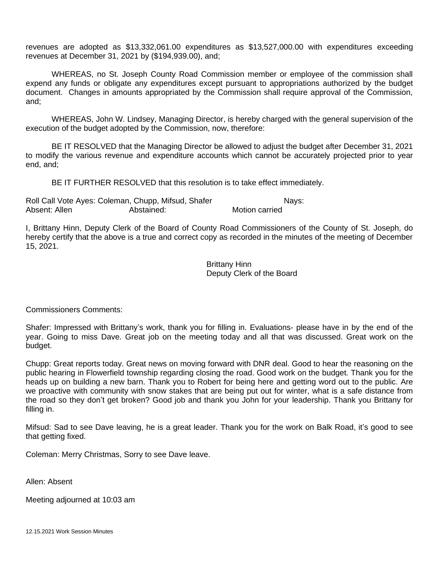revenues are adopted as \$13,332,061.00 expenditures as \$13,527,000.00 with expenditures exceeding revenues at December 31, 2021 by (\$194,939.00), and;

WHEREAS, no St. Joseph County Road Commission member or employee of the commission shall expend any funds or obligate any expenditures except pursuant to appropriations authorized by the budget document. Changes in amounts appropriated by the Commission shall require approval of the Commission, and;

WHEREAS, John W. Lindsey, Managing Director, is hereby charged with the general supervision of the execution of the budget adopted by the Commission, now, therefore:

BE IT RESOLVED that the Managing Director be allowed to adjust the budget after December 31, 2021 to modify the various revenue and expenditure accounts which cannot be accurately projected prior to year end, and;

BE IT FURTHER RESOLVED that this resolution is to take effect immediately.

Roll Call Vote Ayes: Coleman, Chupp, Mifsud, Shafer Nays: Absent: Allen **Abstained:** Abstained: Motion carried

I, Brittany Hinn, Deputy Clerk of the Board of County Road Commissioners of the County of St. Joseph, do hereby certify that the above is a true and correct copy as recorded in the minutes of the meeting of December 15, 2021.

> Brittany Hinn Deputy Clerk of the Board

Commissioners Comments:

Shafer: Impressed with Brittany's work, thank you for filling in. Evaluations- please have in by the end of the year. Going to miss Dave. Great job on the meeting today and all that was discussed. Great work on the budget.

Chupp: Great reports today. Great news on moving forward with DNR deal. Good to hear the reasoning on the public hearing in Flowerfield township regarding closing the road. Good work on the budget. Thank you for the heads up on building a new barn. Thank you to Robert for being here and getting word out to the public. Are we proactive with community with snow stakes that are being put out for winter, what is a safe distance from the road so they don't get broken? Good job and thank you John for your leadership. Thank you Brittany for filling in.

Mifsud: Sad to see Dave leaving, he is a great leader. Thank you for the work on Balk Road, it's good to see that getting fixed.

Coleman: Merry Christmas, Sorry to see Dave leave.

Allen: Absent

Meeting adjourned at 10:03 am